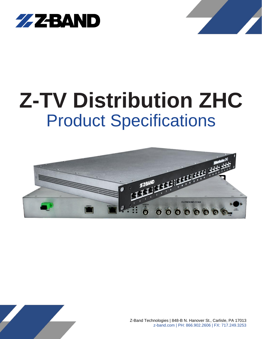



# **Z-TV Distribution ZHC** Product Specifications





Z-Band Technologies | 848-B N. Hanover St., Carlisle, PA 17013 z-band.com | PH: 866.902.2606 | FX: 717.249.3253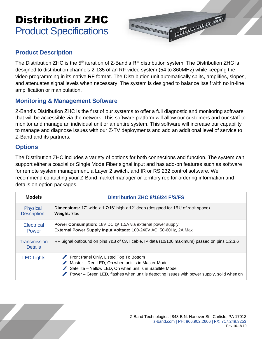### Distribution ZHC Product Specifications



#### **Product Description**

The Distribution ZHC is the 5<sup>th</sup> iteration of Z-Band's RF distribution system. The Distribution ZHC is designed to distribution channels 2-135 of an RF video system (54 to 860MHz) while keeping the video programming in its native RF format. The Distribution unit automatically splits, amplifies, slopes, and attenuates signal levels when necessary. The system is designed to balance itself with no in-line amplification or manipulation.

#### **Monitoring & Management Software**

Z-Band's Distribution ZHC is the first of our systems to offer a full diagnostic and monitoring software that will be accessible via the network. This software platform will allow our customers and our staff to monitor and manage an individual unit or an entire system. This software will increase our capability to manage and diagnose issues with our Z-TV deployments and add an additional level of service to Z-Band and its partners.

#### **Options**

The Distribution ZHC includes a variety of options for both connections and function. The system can support either a coaxial or Single Mode Fiber signal input and has add-on features such as software for remote system management, a Layer 2 switch, and IR or RS 232 control software. We recommend contacting your Z-Band market manager or territory rep for ordering information and details on option packages.

| <b>Models</b>                  | <b>Distribution ZHC 8/16/24 F/S/FS</b>                                                                                                                                                                                                                      |  |
|--------------------------------|-------------------------------------------------------------------------------------------------------------------------------------------------------------------------------------------------------------------------------------------------------------|--|
| Physical<br><b>Description</b> | <b>Dimensions:</b> 17" wide x 1 7/16" high x 12" deep (designed for 1RU of rack space)<br><b>Weight: 7lbs</b>                                                                                                                                               |  |
| <b>Electrical</b><br>Power     | <b>Power Consumption:</b> 18V DC @ 1.5A via external power supply<br>External Power Supply Input Voltage: 100-240V AC, 50-60Hz, 2A Max                                                                                                                      |  |
| Transmission<br><b>Details</b> | RF Signal outbound on pins 7&8 of CAT cable, IP data (10/100 maximum) passed on pins 1,2,3,6                                                                                                                                                                |  |
| <b>LED Lights</b>              | Front Panel Only, Listed Top To Bottom<br>Master – Red LED, On when unit is in Master Mode<br>Satellite - Yellow LED, On when unit is in Satellite Mode<br><b>Power</b> – Green LED, flashes when unit is detecting issues with power supply, solid when on |  |